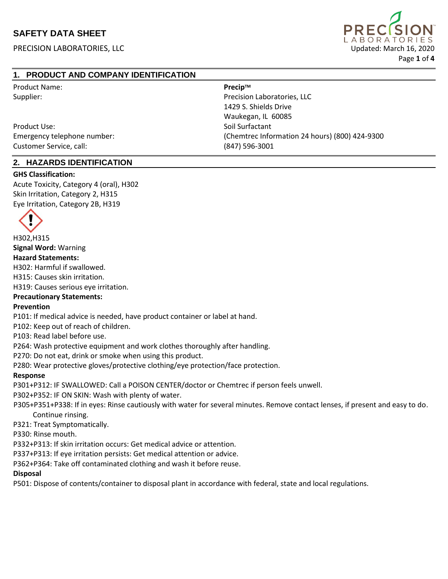PRECISION LABORATORIES, LLC Updated: March 16, 2020



# **1. PRODUCT AND COMPANY IDENTIFICATION**

| <b>Product Name:</b>        | Precip™                                        |
|-----------------------------|------------------------------------------------|
| Supplier:                   | Precision Laboratories, LLC                    |
|                             | 1429 S. Shields Drive                          |
|                             | Waukegan, IL 60085                             |
| Product Use:                | Soil Surfactant                                |
| Emergency telephone number: | (Chemtrec Information 24 hours) (800) 424-9300 |
| Customer Service, call:     | (847) 596-3001                                 |

### **2. HAZARDS IDENTIFICATION**

#### **GHS Classification:**

Acute Toxicity, Category 4 (oral), H302 Skin Irritation, Category 2, H315 Eye Irritation, Category 2B, H319



H302,H315

#### **Signal Word:** Warning **Hazard Statements:**

H302: Harmful if swallowed.

H315: Causes skin irritation.

H319: Causes serious eye irritation.

#### **Precautionary Statements:**

#### **Prevention**

P101: If medical advice is needed, have product container or label at hand.

P102: Keep out of reach of children.

P103: Read label before use.

P264: Wash protective equipment and work clothes thoroughly after handling.

P270: Do not eat, drink or smoke when using this product.

P280: Wear protective gloves/protective clothing/eye protection/face protection.

#### **Response**

P301+P312: IF SWALLOWED: Call a POISON CENTER/doctor or Chemtrec if person feels unwell.

P302+P352: IF ON SKIN: Wash with plenty of water.

 P305+P351+P338: If in eyes: Rinse cautiously with water for several minutes. Remove contact lenses, if present and easy to do. Continue rinsing.

P321: Treat Symptomatically.

P330: Rinse mouth.

P332+P313: If skin irritation occurs: Get medical advice or attention.

P337+P313: If eye irritation persists: Get medical attention or advice.

P362+P364: Take off contaminated clothing and wash it before reuse.

#### **Disposal**

P501: Dispose of contents/container to disposal plant in accordance with federal, state and local regulations.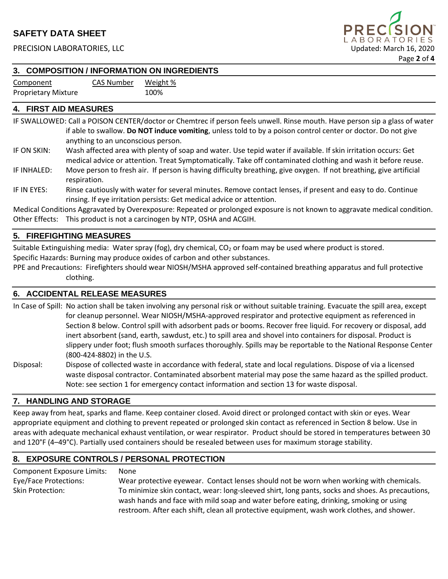PRECISION LABORATORIES, LLC Updated: March 16, 2020



# **3. COMPOSITION / INFORMATION ON INGREDIENTS**

Component CAS Number Weight % Proprietary Mixture 100%

# **4. FIRST AID MEASURES**

IF SWALLOWED: Call a POISON CENTER/doctor or Chemtrec if person feels unwell. Rinse mouth. Have person sip a glass of water if able to swallow. **Do NOT induce vomiting**, unless told to by a poison control center or doctor. Do not give anything to an unconscious person.

- IF ON SKIN: Wash affected area with plenty of soap and water. Use tepid water if available. If skin irritation occurs: Get medical advice or attention. Treat Symptomatically. Take off contaminated clothing and wash it before reuse.
- IF INHALED: Move person to fresh air. If person is having difficulty breathing, give oxygen. If not breathing, give artificial respiration.
- IF IN EYES: Rinse cautiously with water for several minutes. Remove contact lenses, if present and easy to do. Continue rinsing. If eye irritation persists: Get medical advice or attention.

Medical Conditions Aggravated by Overexposure: Repeated or prolonged exposure is not known to aggravate medical condition. Other Effects: This product is not a carcinogen by NTP, OSHA and ACGIH.

### **5. FIREFIGHTING MEASURES**

Suitable Extinguishing media: Water spray (fog), dry chemical,  $CO<sub>2</sub>$  or foam may be used where product is stored. Specific Hazards: Burning may produce oxides of carbon and other substances.

PPE and Precautions: Firefighters should wear NIOSH/MSHA approved self-contained breathing apparatus and full protective clothing.

### **6. ACCIDENTAL RELEASE MEASURES**

In Case of Spill: No action shall be taken involving any personal risk or without suitable training. Evacuate the spill area, except for cleanup personnel. Wear NIOSH/MSHA-approved respirator and protective equipment as referenced in Section 8 below. Control spill with adsorbent pads or booms. Recover free liquid. For recovery or disposal, add inert absorbent (sand, earth, sawdust, etc.) to spill area and shovel into containers for disposal. Product is slippery under foot; flush smooth surfaces thoroughly. Spills may be reportable to the National Response Center (800-424-8802) in the U.S.

Disposal: Dispose of collected waste in accordance with federal, state and local regulations. Dispose of via a licensed waste disposal contractor. Contaminated absorbent material may pose the same hazard as the spilled product. Note: see section 1 for emergency contact information and section 13 for waste disposal.

### **7. HANDLING AND STORAGE**

Keep away from heat, sparks and flame. Keep container closed. Avoid direct or prolonged contact with skin or eyes. Wear appropriate equipment and clothing to prevent repeated or prolonged skin contact as referenced in Section 8 below. Use in areas with adequate mechanical exhaust ventilation, or wear respirator. Product should be stored in temperatures between 30 and 120°F (4–49°C). Partially used containers should be resealed between uses for maximum storage stability.

#### **8. EXPOSURE CONTROLS / PERSONAL PROTECTION**

| <b>Component Exposure Limits:</b> | None                                                                                             |
|-----------------------------------|--------------------------------------------------------------------------------------------------|
| Eye/Face Protections:             | Wear protective eyewear. Contact lenses should not be worn when working with chemicals.          |
| Skin Protection:                  | To minimize skin contact, wear: long-sleeved shirt, long pants, socks and shoes. As precautions, |
|                                   | wash hands and face with mild soap and water before eating, drinking, smoking or using           |
|                                   | restroom. After each shift, clean all protective equipment, wash work clothes, and shower.       |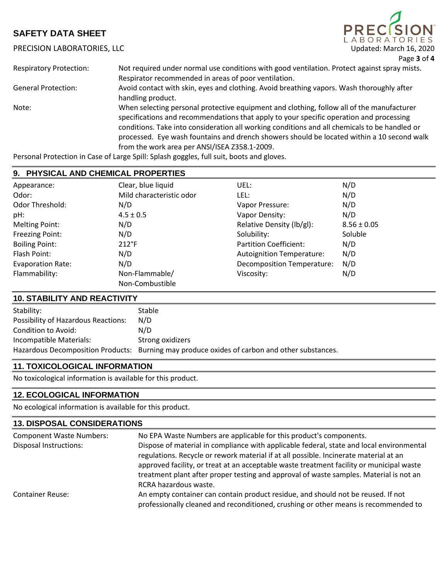# PRECISION LABORATORIES, LLC Updated: March 16, 2020



| <b>Respiratory Protection:</b> | Not required under normal use conditions with good ventilation. Protect against spray mists.<br>Respirator recommended in areas of poor ventilation.                                                                                                                                                                                                                                                                                 |
|--------------------------------|--------------------------------------------------------------------------------------------------------------------------------------------------------------------------------------------------------------------------------------------------------------------------------------------------------------------------------------------------------------------------------------------------------------------------------------|
| <b>General Protection:</b>     | Avoid contact with skin, eyes and clothing. Avoid breathing vapors. Wash thoroughly after<br>handling product.                                                                                                                                                                                                                                                                                                                       |
| Note:                          | When selecting personal protective equipment and clothing, follow all of the manufacturer<br>specifications and recommendations that apply to your specific operation and processing<br>conditions. Take into consideration all working conditions and all chemicals to be handled or<br>processed. Eye wash fountains and drench showers should be located within a 10 second walk<br>from the work area per ANSI/ISEA Z358.1-2009. |

Personal Protection in Case of Large Spill: Splash goggles, full suit, boots and gloves.

## **9. PHYSICAL AND CHEMICAL PROPERTIES**

| Appearance:              | Clear, blue liquid       | UEL:                              | N/D             |
|--------------------------|--------------------------|-----------------------------------|-----------------|
| Odor:                    | Mild characteristic odor | LEL:                              | N/D             |
| Odor Threshold:          | N/D                      | Vapor Pressure:                   | N/D             |
| pH:                      | $4.5 \pm 0.5$            | Vapor Density:                    | N/D             |
| <b>Melting Point:</b>    | N/D                      | Relative Density (lb/gl):         | $8.56 \pm 0.05$ |
| Freezing Point:          | N/D                      | Solubility:                       | Soluble         |
| <b>Boiling Point:</b>    | $212^{\circ}F$           | <b>Partition Coefficient:</b>     | N/D             |
| Flash Point:             | N/D                      | <b>Autoignition Temperature:</b>  | N/D             |
| <b>Evaporation Rate:</b> | N/D                      | <b>Decomposition Temperature:</b> | N/D             |
| Flammability:            | Non-Flammable/           | Viscosity:                        | N/D             |
|                          | Non-Combustible          |                                   |                 |

# **10. STABILITY AND REACTIVITY**

| Stability:                                 | <b>Stable</b>                                                                                |
|--------------------------------------------|----------------------------------------------------------------------------------------------|
| <b>Possibility of Hazardous Reactions:</b> | N/D                                                                                          |
| Condition to Avoid:                        | N/D                                                                                          |
| Incompatible Materials:                    | Strong oxidizers                                                                             |
|                                            | Hazardous Decomposition Products: Burning may produce oxides of carbon and other substances. |

# **11. TOXICOLOGICAL INFORMATION**

No toxicological information is available for this product.

# **12. ECOLOGICAL INFORMATION**

No ecological information is available for this product.

| <b>13. DISPOSAL CONSIDERATIONS</b> |                                                                                                                                                                                                                                                                                                                                                                                                  |  |  |
|------------------------------------|--------------------------------------------------------------------------------------------------------------------------------------------------------------------------------------------------------------------------------------------------------------------------------------------------------------------------------------------------------------------------------------------------|--|--|
| <b>Component Waste Numbers:</b>    | No EPA Waste Numbers are applicable for this product's components.                                                                                                                                                                                                                                                                                                                               |  |  |
| Disposal Instructions:             | Dispose of material in compliance with applicable federal, state and local environmental<br>regulations. Recycle or rework material if at all possible. Incinerate material at an<br>approved facility, or treat at an acceptable waste treatment facility or municipal waste<br>treatment plant after proper testing and approval of waste samples. Material is not an<br>RCRA hazardous waste. |  |  |
| <b>Container Reuse:</b>            | An empty container can contain product residue, and should not be reused. If not<br>professionally cleaned and reconditioned, crushing or other means is recommended to                                                                                                                                                                                                                          |  |  |